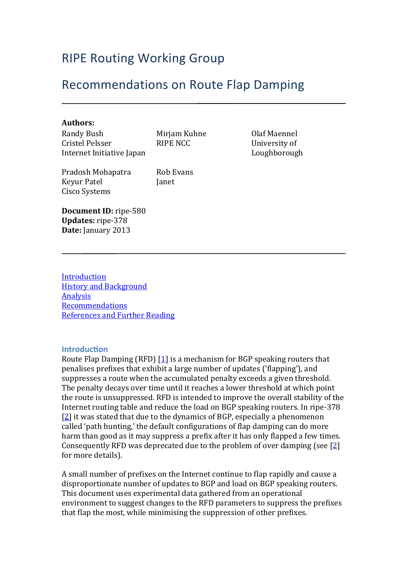# **RIPE Routing Working Group**

## Recommendations on Route Flap Damping

#### **Authors:**

Randy Bush Cristel Pelsser Internet Initiative Japan Mirjam Kuhne RIPE NCC

Pradosh Mohapatra **Keyur Patel** Cisco Systems

Rob Evans Janet

Olaf Maennel University of Loughborough

**Document ID:** ripe-580 **Updates:** ripe-378 **Date:** January 2013

**[Introduction](#page-0-0) History and Background** [Analysis](#page-1-1) [Recommendations](#page-2-0) **References and Further Reading** 

#### <span id="page-0-0"></span>**Introduction**

Route Flap Damping (RFD)  $[1]$  $[1]$  $[1]$  is a mechanism for BGP speaking routers that penalises prefixes that exhibit a large number of updates ('flapping'), and suppresses a route when the accumulated penalty exceeds a given threshold. The penalty decays over time until it reaches a lower threshold at which point the route is unsuppressed. RFD is intended to improve the overall stability of the Internet routing table and reduce the load on BGP speaking routers. In ripe-378 [\[2\]](#page-3-2) it was stated that due to the dynamics of BGP, especially a phenomenon called 'path hunting,' the default configurations of flap damping can do more harm than good as it may suppress a prefix after it has only flapped a few times. Consequently RFD was deprecated due to the problem of over damping (see  $[2]$ ) for more details).

A small number of prefixes on the Internet continue to flap rapidly and cause a disproportionate number of updates to BGP and load on BGP speaking routers. This document uses experimental data gathered from an operational environment to suggest changes to the RFD parameters to suppress the prefixes that flap the most, while minimising the suppression of other prefixes.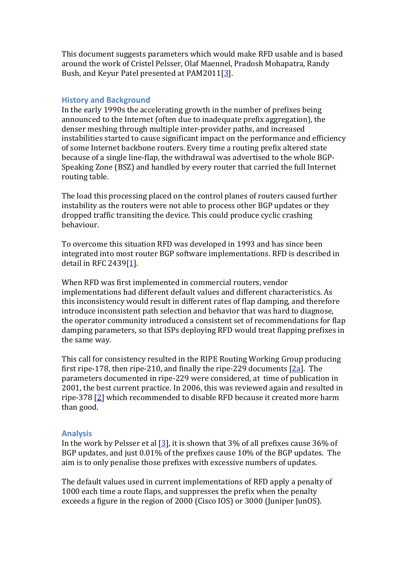This document suggests parameters which would make RFD usable and is based around the work of Cristel Pelsser, Olaf Maennel, Pradosh Mohapatra, Randy Bush, and Keyur Patel presented at PAM2011[[3](#page-3-3)].

#### <span id="page-1-0"></span>**History and Background**

In the early 1990s the accelerating growth in the number of prefixes being announced to the Internet (often due to inadequate prefix aggregation), the denser meshing through multiple inter-provider paths, and increased instabilities started to cause significant impact on the performance and efficiency of some Internet backbone routers. Every time a routing prefix altered state because of a single line-flap, the withdrawal was advertised to the whole BGP-Speaking Zone (BSZ) and handled by every router that carried the full Internet routing table.

The load this processing placed on the control planes of routers caused further instability as the routers were not able to process other BGP updates or they dropped traffic transiting the device. This could produce cyclic crashing behaviour.

To overcome this situation RFD was developed in 1993 and has since been integrated into most router BGP software implementations. RFD is described in detail in RFC 2439 $[1]$  $[1]$ .

When RFD was first implemented in commercial routers, vendor implementations had different default values and different characteristics. As this inconsistency would result in different rates of flap damping, and therefore introduce inconsistent path selection and behavior that was hard to diagnose, the operator community introduced a consistent set of recommendations for flap damping parameters, so that ISPs deploying RFD would treat flapping prefixes in the same way.

This call for consistency resulted in the RIPE Routing Working Group producing first ripe-178, then ripe-210, and finally the ripe-229 documents  $[2a]$ . The parameters documented in ripe-229 were considered, at time of publication in 2001, the best current practice. In 2006, this was reviewed again and resulted in ripe-378 $[2]$  $[2]$  $[2]$  which recommended to disable RFD because it created more harm than good.

#### <span id="page-1-1"></span>**Analysis**

In the work by Pelsser et al  $[3]$  $[3]$ , it is shown that 3% of all prefixes cause 36% of BGP updates, and just 0.01% of the prefixes cause 10% of the BGP updates. The aim is to only penalise those prefixes with excessive numbers of updates.

The default values used in current implementations of RFD apply a penalty of 1000 each time a route flaps, and suppresses the prefix when the penalty exceeds a figure in the region of 2000 (Cisco IOS) or 3000 (Juniper JunOS).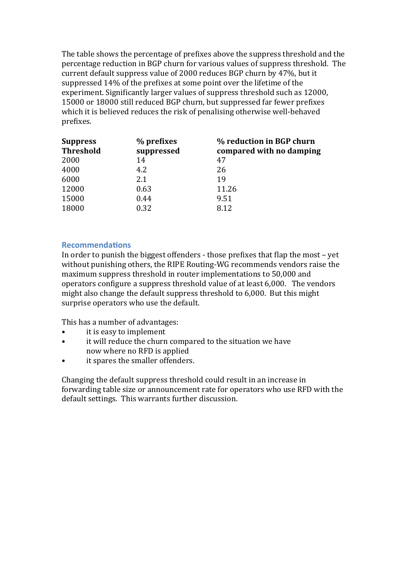The table shows the percentage of prefixes above the suppress threshold and the percentage reduction in BGP churn for various values of suppress threshold. The current default suppress value of 2000 reduces BGP churn by 47%, but it suppressed 14% of the prefixes at some point over the lifetime of the experiment. Significantly larger values of suppress threshold such as 12000, 15000 or 18000 still reduced BGP churn, but suppressed far fewer prefixes which it is believed reduces the risk of penalising otherwise well-behaved prefixes.

| <b>Suppress</b><br><b>Threshold</b> | % prefixes<br>suppressed | % reduction in BGP churn<br>compared with no damping |
|-------------------------------------|--------------------------|------------------------------------------------------|
| 2000                                | 14                       | 47                                                   |
| 4000                                | 4.2                      | 26                                                   |
| 6000                                | 2.1                      | 19                                                   |
| 12000                               | 0.63                     | 11.26                                                |
| 15000                               | 0.44                     | 9.51                                                 |
| 18000                               | 0.32                     | 8.12                                                 |

## <span id="page-2-0"></span>**Recommendations**

In order to punish the biggest offenders - those prefixes that flap the most – yet without punishing others, the RIPE Routing-WG recommends vendors raise the maximum suppress threshold in router implementations to 50,000 and operators configure a suppress threshold value of at least 6,000. The vendors might also change the default suppress threshold to 6,000. But this might surprise operators who use the default.

This has a number of advantages:

- it is easy to implement
- it will reduce the churn compared to the situation we have now where no RFD is applied
- it spares the smaller offenders.

Changing the default suppress threshold could result in an increase in forwarding table size or announcement rate for operators who use RFD with the default settings. This warrants further discussion.